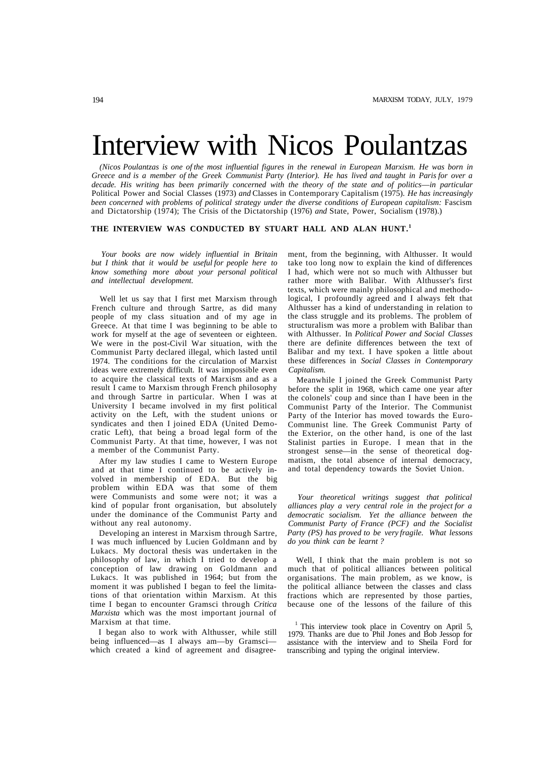## Interview with Nicos Poulantzas

*(Nicos Poulantzas is one of the most influential figures in the renewal in European Marxism. He was born in Greece and is a member of the Greek Communist Party (Interior). He has lived and taught in Paris for over a*  decade. His writing has been primarily concerned with the theory of the state and of politics—in particular Political Power and Social Classes (1973) *and* Classes in Contemporary Capitalism (1975). *He has increasingly been concerned with problems of political strategy under the diverse conditions of European capitalism:* Fascism and Dictatorship (1974); The Crisis of the Dictatorship (1976) *and* State, Power, Socialism (1978).)

## **THE INTERVIEW WAS CONDUCTED BY STUART HALL AND ALAN HUNT.<sup>1</sup>**

*Your books are now widely influential in Britain but I think that it would be useful for people here to know something more about your personal political and intellectual development.* 

Well let us say that I first met Marxism through French culture and through Sartre, as did many people of my class situation and of my age in Greece. At that time I was beginning to be able to work for myself at the age of seventeen or eighteen. We were in the post-Civil War situation, with the Communist Party declared illegal, which lasted until 1974. The conditions for the circulation of Marxist ideas were extremely difficult. It was impossible even to acquire the classical texts of Marxism and as a result I came to Marxism through French philosophy and through Sartre in particular. When I was at University I became involved in my first political activity on the Left, with the student unions or syndicates and then I joined EDA (United Democratic Left), that being a broad legal form of the Communist Party. At that time, however, I was not a member of the Communist Party.

After my law studies I came to Western Europe and at that time I continued to be actively involved in membership of EDA. But the big problem within EDA was that some of them were Communists and some were not; it was a kind of popular front organisation, but absolutely under the dominance of the Communist Party and without any real autonomy.

Developing an interest in Marxism through Sartre, I was much influenced by Lucien Goldmann and by Lukacs. My doctoral thesis was undertaken in the philosophy of law, in which I tried to develop a conception of law drawing on Goldmann and Lukacs. It was published in 1964; but from the moment it was published I began to feel the limitations of that orientation within Marxism. At this time I began to encounter Gramsci through *Critica Marxista* which was the most important journal of Marxism at that time.

I began also to work with Althusser, while still being influenced—as I always am—by Gramsci which created a kind of agreement and disagreement, from the beginning, with Althusser. It would take too long now to explain the kind of differences I had, which were not so much with Althusser but rather more with Balibar. With Althusser's first texts, which were mainly philosophical and methodological, I profoundly agreed and I always felt that Althusser has a kind of understanding in relation to the class struggle and its problems. The problem of structuralism was more a problem with Balibar than with Althusser. In *Political Power and Social Classes*  there are definite differences between the text of Balibar and my text. I have spoken a little about these differences in *Social Classes in Contemporary Capitalism.* 

Meanwhile I joined the Greek Communist Party before the split in 1968, which came one year after the colonels' coup and since than I have been in the Communist Party of the Interior. The Communist Party of the Interior has moved towards the Euro-Communist line. The Greek Communist Party of the Exterior, on the other hand, is one of the last Stalinist parties in Europe. I mean that in the strongest sense—in the sense of theoretical dogmatism, the total absence of internal democracy, and total dependency towards the Soviet Union.

*Your theoretical writings suggest that political alliances play a very central role in the project for a democratic socialism. Yet the alliance between the Communist Party of France (PCF) and the Socialist Party (PS) has proved to be very fragile. What lessons do you think can be learnt ?* 

Well, I think that the main problem is not so much that of political alliances between political organisations. The main problem, as we know, is the political alliance between the classes and class fractions which are represented by those parties, because one of the lessons of the failure of this

<sup>1</sup> This interview took place in Coventry on April 5, 1979. Thanks are due to Phil Jones and Bob Jessop for assistance with the interview and to Sheila Ford for transcribing and typing the original interview.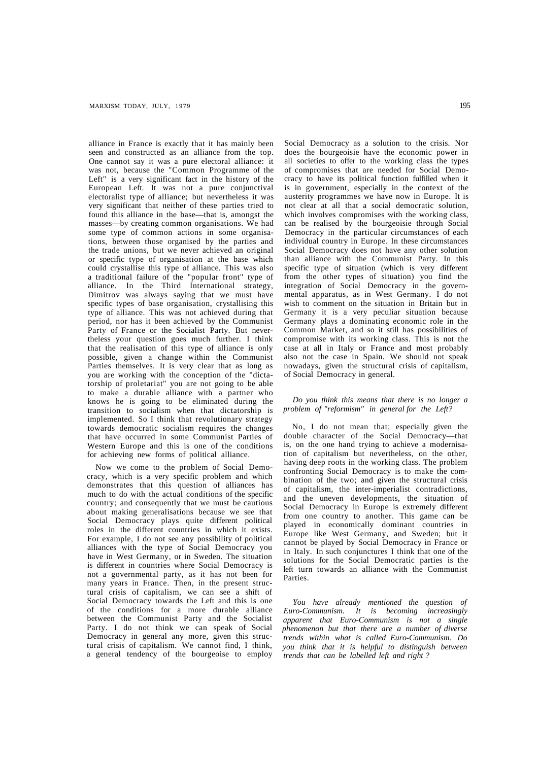alliance in France is exactly that it has mainly been seen and constructed as an alliance from the top. One cannot say it was a pure electoral alliance: it was not, because the "Common Programme of the Left" is a very significant fact in the history of the European Left. It was not a pure conjunctival electoralist type of alliance; but nevertheless it was very significant that neither of these parties tried to found this alliance in the base—that is, amongst the masses—by creating common organisations. We had some type of common actions in some organisations, between those organised by the parties and the trade unions, but we never achieved an original or specific type of organisation at the base which could crystallise this type of alliance. This was also a traditional failure of the "popular front" type of alliance. In the Third International strategy, Dimitrov was always saying that we must have specific types of base organisation, crystallising this type of alliance. This was not achieved during that period, nor has it been achieved by the Communist Party of France or the Socialist Party. But nevertheless your question goes much further. I think that the realisation of this type of alliance is only possible, given a change within the Communist Parties themselves. It is very clear that as long as you are working with the conception of the "dictatorship of proletariat" you are not going to be able to make a durable alliance with a partner who knows he is going to be eliminated during the transition to socialism when that dictatorship is implemented. So I think that revolutionary strategy towards democratic socialism requires the changes that have occurred in some Communist Parties of Western Europe and this is one of the conditions for achieving new forms of political alliance.

Now we come to the problem of Social Democracy, which is a very specific problem and which demonstrates that this question of alliances has much to do with the actual conditions of the specific country; and consequently that we must be cautious about making generalisations because we see that Social Democracy plays quite different political roles in the different countries in which it exists. For example, I do not see any possibility of political alliances with the type of Social Democracy you have in West Germany, or in Sweden. The situation is different in countries where Social Democracy is not a governmental party, as it has not been for many years in France. Then, in the present structural crisis of capitalism, we can see a shift of Social Democracy towards the Left and this is one of the conditions for a more durable alliance between the Communist Party and the Socialist Party. I do not think we can speak of Social Democracy in general any more, given this structural crisis of capitalism. We cannot find, I think, a general tendency of the bourgeoise to employ

Social Democracy as a solution to the crisis. Nor does the bourgeoisie have the economic power in all societies to offer to the working class the types of compromises that are needed for Social Democracy to have its political function fulfilled when it is in government, especially in the context of the austerity programmes we have now in Europe. It is not clear at all that a social democratic solution, which involves compromises with the working class. can be realised by the bourgeoisie through Social Democracy in the particular circumstances of each individual country in Europe. In these circumstances Social Democracy does not have any other solution than alliance with the Communist Party. In this specific type of situation (which is very different from the other types of situation) you find the integration of Social Democracy in the governmental apparatus, as in West Germany. I do not wish to comment on the situation in Britain but in Germany it is a very peculiar situation because Germany plays a dominating economic role in the Common Market, and so it still has possibilities of compromise with its working class. This is not the case at all in Italy or France and most probably also not the case in Spain. We should not speak nowadays, given the structural crisis of capitalism, of Social Democracy in general.

## *Do you think this means that there is no longer a problem of "reformism" in general for the Left?*

No, I do not mean that; especially given the double character of the Social Democracy—that is, on the one hand trying to achieve a modernisation of capitalism but nevertheless, on the other, having deep roots in the working class. The problem confronting Social Democracy is to make the combination of the two; and given the structural crisis of capitalism, the inter-imperialist contradictions, and the uneven developments, the situation of Social Democracy in Europe is extremely different from one country to another. This game can be played in economically dominant countries in Europe like West Germany, and Sweden; but it cannot be played by Social Democracy in France or in Italy. In such conjunctures I think that one of the solutions for the Social Democratic parties is the left turn towards an alliance with the Communist Parties.

*You have already mentioned the question of Euro-Communism. It is becoming increasingly apparent that Euro-Communism is not a single phenomenon but that there are a number of diverse trends within what is called Euro-Communism. Do you think that it is helpful to distinguish between trends that can be labelled left and right ?*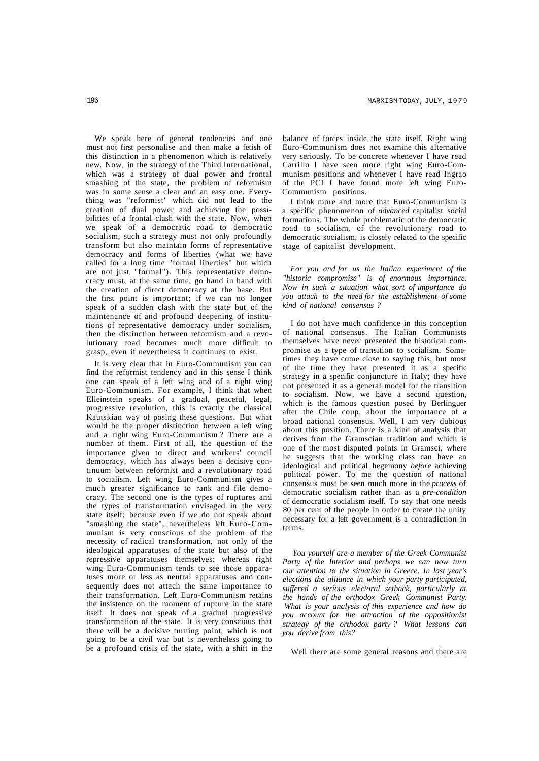We speak here of general tendencies and one must not first personalise and then make a fetish of this distinction in a phenomenon which is relatively new. Now, in the strategy of the Third International, which was a strategy of dual power and frontal smashing of the state, the problem of reformism was in some sense a clear and an easy one. Everything was "reformist" which did not lead to the creation of dual power and achieving the possibilities of a frontal clash with the state. Now, when we speak of a democratic road to democratic socialism, such a strategy must not only profoundly transform but also maintain forms of representative democracy and forms of liberties (what we have called for a long time "formal liberties" but which are not just "formal"). This representative democracy must, at the same time, go hand in hand with the creation of direct democracy at the base. But the first point is important; if we can no longer speak of a sudden clash with the state but of the maintenance of and profound deepening of institutions of representative democracy under socialism, then the distinction between reformism and a revolutionary road becomes much more difficult to grasp, even if nevertheless it continues to exist.

It is very clear that in Euro-Communism you can find the reformist tendency and in this sense I think one can speak of a left wing and of a right wing Euro-Communism. For example, I think that when Elleinstein speaks of a gradual, peaceful, legal, progressive revolution, this is exactly the classical Kautskian way of posing these questions. But what would be the proper distinction between a left wing and a right wing Euro-Communism ? There are a number of them. First of all, the question of the importance given to direct and workers' council democracy, which has always been a decisive continuum between reformist and a revolutionary road to socialism. Left wing Euro-Communism gives a much greater significance to rank and file democracy. The second one is the types of ruptures and the types of transformation envisaged in the very state itself: because even if we do not speak about "smashing the state", nevertheless left Euro-Communism is very conscious of the problem of the necessity of radical transformation, not only of the ideological apparatuses of the state but also of the repressive apparatuses themselves: whereas right wing Euro-Communism tends to see those apparatuses more or less as neutral apparatuses and consequently does not attach the same importance to their transformation. Left Euro-Communism retains the insistence on the moment of rupture in the state itself. It does not speak of a gradual progressive transformation of the state. It is very conscious that there will be a decisive turning point, which is not going to be a civil war but is nevertheless going to be a profound crisis of the state, with a shift in the balance of forces inside the state itself. Right wing Euro-Communism does not examine this alternative very seriously. To be concrete whenever I have read Carrillo I have seen more right wing Euro-Communism positions and whenever I have read Ingrao of the PCI I have found more left wing Euro-Communism positions.

I think more and more that Euro-Communism is a specific phenomenon of *advanced* capitalist social formations. The whole problematic of the democratic road to socialism, of the revolutionary road to democratic socialism, is closely related to the specific stage of capitalist development.

*For you and for us the Italian experiment of the "historic compromise" is of enormous importance. Now in such a situation what sort of importance do you attach to the need for the establishment of some kind of national consensus ?* 

I do not have much confidence in this conception of national consensus. The Italian Communists themselves have never presented the historical compromise as a type of transition to socialism. Sometimes they have come close to saying this, but most of the time they have presented it as a specific strategy in a specific conjuncture in Italy; they have not presented it as a general model for the transition to socialism. Now, we have a second question, which is the famous question posed by Berlinguer after the Chile coup, about the importance of a broad national consensus. Well, I am very dubious about this position. There is a kind of analysis that derives from the Gramscian tradition and which is one of the most disputed points in Gramsci, where he suggests that the working class can have an ideological and political hegemony *before* achieving political power. To me the question of national consensus must be seen much more in the *process* of democratic socialism rather than as a *pre-condition*  of democratic socialism itself. To say that one needs 80 per cent of the people in order to create the unity necessary for a left government is a contradiction in terms.

*You yourself are a member of the Greek Communist Party of the Interior and perhaps we can now turn our attention to the situation in Greece. In last year's elections the alliance in which your party participated, suffered a serious electoral setback, particularly at the hands of the orthodox Greek Communist Party. What is your analysis of this experience and how do you account for the attraction of the oppositionist strategy of the orthodox party ? What lessons can you derive from this?* 

Well there are some general reasons and there are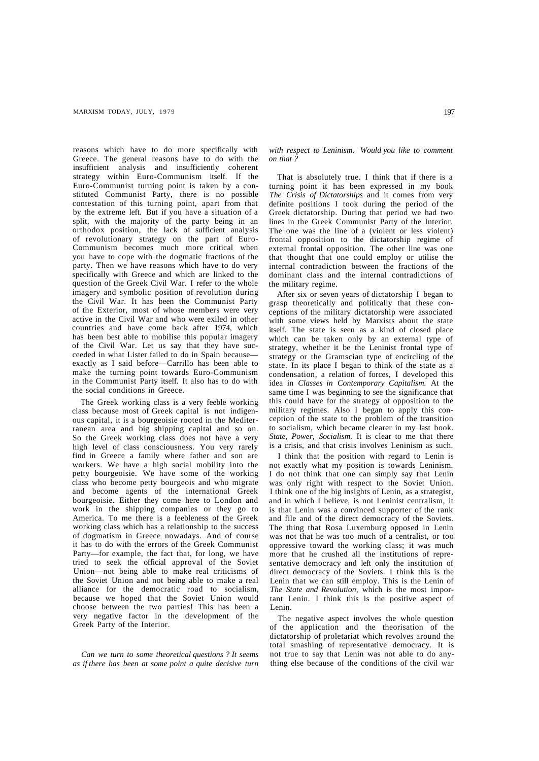reasons which have to do more specifically with Greece. The general reasons have to do with the insufficient analysis and insufficiently coherent strategy within Euro-Communism itself. If the Euro-Communist turning point is taken by a constituted Communist Party, there is no possible contestation of this turning point, apart from that by the extreme left. But if you have a situation of a split, with the majority of the party being in an orthodox position, the lack of sufficient analysis of revolutionary strategy on the part of Euro-Communism becomes much more critical when you have to cope with the dogmatic fractions of the party. Then we have reasons which have to do very specifically with Greece and which are linked to the question of the Greek Civil War. I refer to the whole imagery and symbolic position of revolution during the Civil War. It has been the Communist Party of the Exterior, most of whose members were very active in the Civil War and who were exiled in other countries and have come back after 1974, which has been best able to mobilise this popular imagery of the Civil War. Let us say that they have succeeded in what Lister failed to do in Spain because exactly as I said before—Carrillo has been able to make the turning point towards Euro-Communism in the Communist Party itself. It also has to do with the social conditions in Greece.

The Greek working class is a very feeble working class because most of Greek capital is not indigenous capital, it is a bourgeoisie rooted in the Mediterranean area and big shipping capital and so on. So the Greek working class does not have a very high level of class consciousness. You very rarely find in Greece a family where father and son are workers. We have a high social mobility into the petty bourgeoisie. We have some of the working class who become petty bourgeois and who migrate and become agents of the international Greek bourgeoisie. Either they come here to London and work in the shipping companies or they go to America. To me there is a feebleness of the Greek working class which has a relationship to the success of dogmatism in Greece nowadays. And of course it has to do with the errors of the Greek Communist Party—for example, the fact that, for long, we have tried to seek the official approval of the Soviet Union—not being able to make real criticisms of the Soviet Union and not being able to make a real alliance for the democratic road to socialism, because we hoped that the Soviet Union would choose between the two parties! This has been a very negative factor in the development of the Greek Party of the Interior.

*Can we turn to some theoretical questions ? It seems as if there has been at some point a quite decisive turn* 

*with respect to Leninism. Would you like to comment on that ?* 

That is absolutely true. I think that if there is a turning point it has been expressed in my book *The Crisis of Dictatorships* and it comes from very definite positions I took during the period of the Greek dictatorship. During that period we had two lines in the Greek Communist Party of the Interior. The one was the line of a (violent or less violent) frontal opposition to the dictatorship regime of external frontal opposition. The other line was one that thought that one could employ or utilise the internal contradiction between the fractions of the dominant class and the internal contradictions of the military regime.

After six or seven years of dictatorship I began to grasp theoretically and politically that these conceptions of the military dictatorship were associated with some views held by Marxists about the state itself. The state is seen as a kind of closed place which can be taken only by an external type of strategy, whether it be the Leninist frontal type of strategy or the Gramscian type of encircling of the state. In its place I began to think of the state as a condensation, a relation of forces, I developed this idea in *Classes in Contemporary Capitalism.* At the same time I was beginning to see the significance that this could have for the strategy of opposition to the military regimes. Also I began to apply this conception of the state to the problem of the transition to socialism, which became clearer in my last book. *State, Power, Socialism.* It is clear to me that there is a crisis, and that crisis involves Leninism as such.

I think that the position with regard to Lenin is not exactly what my position is towards Leninism. I do not think that one can simply say that Lenin was only right with respect to the Soviet Union. I think one of the big insights of Lenin, as a strategist, and in which I believe, is not Leninist centralism, it is that Lenin was a convinced supporter of the rank and file and of the direct democracy of the Soviets. The thing that Rosa Luxemburg opposed in Lenin was not that he was too much of a centralist, or too oppressive toward the working class; it was much more that he crushed all the institutions of representative democracy and left only the institution of direct democracy of the Soviets. I think this is the Lenin that we can still employ. This is the Lenin of *The State and Revolution,* which is the most important Lenin. I think this is the positive aspect of Lenin.

The negative aspect involves the whole question of the application and the theorisation of the dictatorship of proletariat which revolves around the total smashing of representative democracy. It is not true to say that Lenin was not able to do anything else because of the conditions of the civil war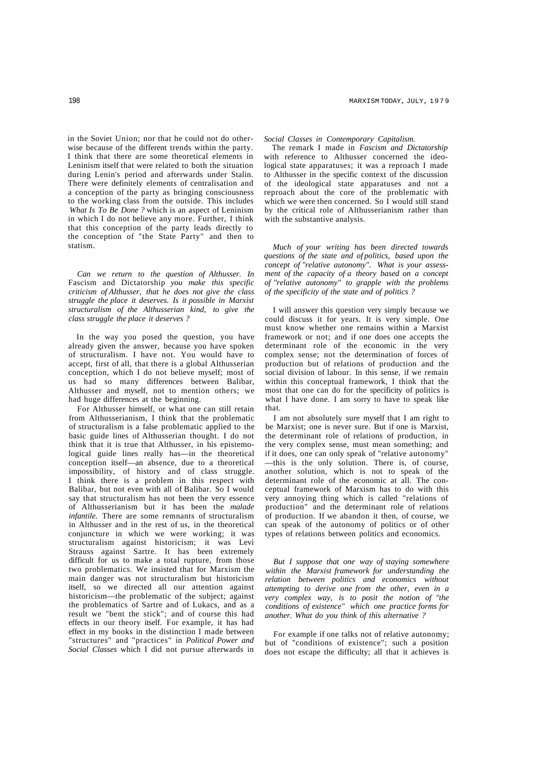in the Soviet Union; nor that he could not do otherwise because of the different trends within the party. I think that there are some theoretical elements in Leninism itself that were related to both the situation during Lenin's period and afterwards under Stalin. There were definitely elements of centralisation and a conception of the party as bringing consciousness to the working class from the outside. This includes *What Is To Be Done ?* which is an aspect of Leninism in which I do not believe any more. Further, I think that this conception of the party leads directly to the conception of "the State Party" and then to

*Can we return to the question of Althusser. In*  Fascism and Dictatorship *you make this specific criticism of Althusser, that he does not give the class struggle the place it deserves. Is it possible in Marxist structuralism of the Althusserian kind, to give the class struggle the place it deserves ?* 

In the way you posed the question, you have already given the answer, because you have spoken of structuralism. I have not. You would have to accept, first of all, that there is a global Althusserian conception, which I do not believe myself; most of us had so many differences between Balibar, Althusser and myself, not to mention others; we had huge differences at the beginning.

For Althusser himself, or what one can still retain from Althusserianism, I think that the problematic of structuralism is a false problematic applied to the basic guide lines of Althusserian thought. I do not think that it is true that Althusser, in his epistemological guide lines really has—in the theoretical conception itself—an absence, due to a theoretical impossibility, of history and of class struggle. I think there is a problem in this respect with Balibar, but not even with all of Balibar. So I would say that structuralism has not been the very essence of Althusserianism but it has been the *malade infantile.* There are some remnants of structuralism in Althusser and in the rest of us, in the theoretical conjuncture in which we were working; it was structuralism against historicism; it was Levi Strauss against Sartre. It has been extremely difficult for us to make a total rupture, from those two problematics. We insisted that for Marxism the main danger was not structuralism but historicism itself, so we directed all our attention against historicism—the problematic of the subject; against the problematics of Sartre and of Lukacs, and as a result we "bent the stick"; and of course this had effects in our theory itself. For example, it has had effect in my books in the distinction  $\overline{I}$  made between "structures" and "practices" in *Political Power and Social Classes* which I did not pursue afterwards in

*Social Classes in Contemporary Capitalism.* 

The remark I made in *Fascism and Dictatorship*  with reference to Althusser concerned the ideological state apparatuses; it was a reproach I made to Althusser in the specific context of the discussion of the ideological state apparatuses and not a reproach about the core of the problematic with which we were then concerned. So  $\overline{I}$  would still stand by the critical role of Althusserianism rather than with the substantive analysis.

*Much of your writing has been directed towards questions of the state and of politics, based upon the concept of "relative autonomy". What is your assessment of the capacity of a theory based on a concept of "relative autonomy" to grapple with the problems of the specificity of the state and of politics ?* 

I will answer this question very simply because we could discuss it for years. It is very simple. One must know whether one remains within a Marxist framework or not; and if one does one accepts the determinant role of the economic in the very complex sense; not the determination of forces of production but of relations of production and the social division of labour. In this sense, if we remain within this conceptual framework, I think that the most that one can do for the specificity of politics is what I have done. I am sorry to have to speak like that.

I am not absolutely sure myself that I am right to be Marxist; one is never sure. But if one is Marxist, the determinant role of relations of production, in the very complex sense, must mean something; and if it does, one can only speak of "relative autonomy" —this is the only solution. There is, of course, another solution, which is not to speak of the determinant role of the economic at all. The conceptual framework of Marxism has to do with this very annoying thing which is called "relations of production" and the determinant role of relations of production. If we abandon it then, of course, we can speak of the autonomy of politics or of other types of relations between politics and economics.

*But I suppose that one way of staying somewhere within the Marxist framework for understanding the relation between politics and economics without attempting to derive one from the other, even in a very complex way, is to posit the notion of "the conditions of existence" which one practice forms for another. What do you think of this alternative ?* 

For example if one talks not of relative autonomy; but of "conditions of existence"; such a position does not escape the difficulty; all that it achieves is

statism.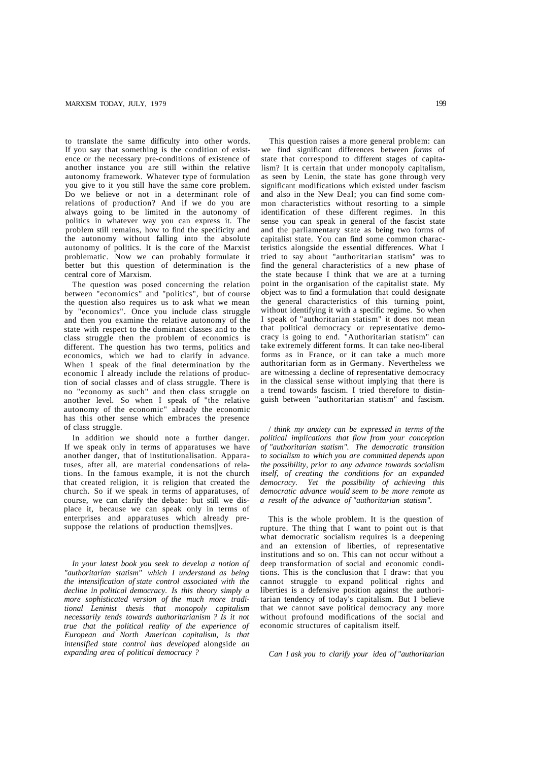to translate the same difficulty into other words. If you say that something is the condition of existence or the necessary pre-conditions of existence of another instance you are still within the relative autonomy framework. Whatever type of formulation you give to it you still have the same core problem. Do we believe or not in a determinant role of relations of production? And if we do you are always going to be limited in the autonomy of politics in whatever way you can express it. The problem still remains, how to find the specificity and the autonomy without falling into the absolute autonomy of politics. It is the core of the Marxist problematic. Now we can probably formulate it better but this question of determination is the central core of Marxism.

The question was posed concerning the relation between "economics" and "politics", but of course the question also requires us to ask what we mean by "economics". Once you include class struggle and then you examine the relative autonomy of the state with respect to the dominant classes and to the class struggle then the problem of economics is different. The question has two terms, politics and economics, which we had to clarify in advance. When 1 speak of the final determination by the economic I already include the relations of production of social classes and of class struggle. There is no "economy as such" and then class struggle on another level. So when I speak of "the relative autonomy of the economic" already the economic has this other sense which embraces the presence of class struggle.

In addition we should note a further danger. If we speak only in terms of apparatuses we have another danger, that of institutionalisation. Apparatuses, after all, are material condensations of relations. In the famous example, it is not the church that created religion, it is religion that created the church. So if we speak in terms of apparatuses, of course, we can clarify the debate: but still we displace it, because we can speak only in terms of enterprises and apparatuses which already presuppose the relations of production thems||ves.

*In your latest book you seek to develop a notion of "authoritarian statism" which I understand as being the intensification of state control associated with the decline in political democracy. Is this theory simply a more sophisticated version of the much more traditional Leninist thesis that monopoly capitalism necessarily tends towards authoritarianism ? Is it not true that the political reality of the experience of European and North American capitalism, is that intensified state control has developed* alongside *an expanding area of political democracy ?* 

This question raises a more general problem: can we find significant differences between *forms* of state that correspond to different stages of capitalism? It is certain that under monopoly capitalism, as seen by Lenin, the state has gone through very significant modifications which existed under fascism and also in the New Deal; you can find some common characteristics without resorting to a simple identification of these different regimes. In this sense you can speak in general of the fascist state and the parliamentary state as being two forms of capitalist state. You can find some common characteristics alongside the essential differences. What I tried to say about "authoritarian statism" was to find the general characteristics of a new phase of the state because I think that we are at a turning point in the organisation of the capitalist state. My object was to find a formulation that could designate the general characteristics of this turning point, without identifying it with a specific regime. So when I speak of "authoritarian statism" it does not mean that political democracy or representative democracy is going to end. "Authoritarian statism" can take extremely different forms. It can take neo-liberal forms as in France, or it can take a much more authoritarian form as in Germany. Nevertheless we are witnessing a decline of representative democracy in the classical sense without implying that there is a trend towards fascism. I tried therefore to distinguish between "authoritarian statism" and fascism.

/ *think my anxiety can be expressed in terms of the political implications that flow from your conception of "authoritarian statism". The democratic transition to socialism to which you are committed depends upon the possibility, prior to any advance towards socialism itself, of creating the conditions for an expanded democracy. Yet the possibility of achieving this democratic advance would seem to be more remote as a result of the advance of "authoritarian statism".* 

This is the whole problem. It is the question of rupture. The thing that I want to point out is that what democratic socialism requires is a deepening and an extension of liberties, of representative institutions and so on. This can not occur without a deep transformation of social and economic conditions. This is the conclusion that I draw: that you cannot struggle to expand political rights and liberties is a defensive position against the authoritarian tendency of today's capitalism. But I believe that we cannot save political democracy any more without profound modifications of the social and economic structures of capitalism itself.

*Can I ask you to clarify your idea of "authoritarian*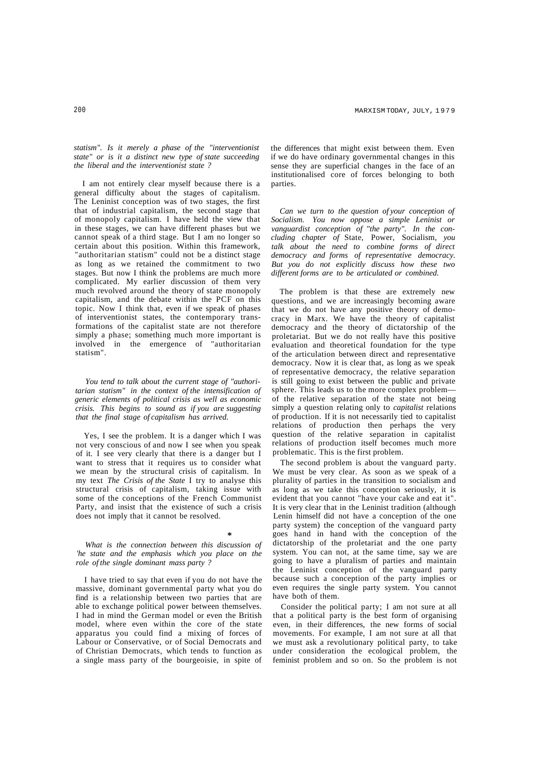*statism". Is it merely a phase of the "interventionist state" or is it a distinct new type of state succeeding the liberal and the interventionist state ?* 

I am not entirely clear myself because there is a general difficulty about the stages of capitalism. The Leninist conception was of two stages, the first that of industrial capitalism, the second stage that of monopoly capitalism. I have held the view that in these stages, we can have different phases but we cannot speak of a third stage. But I am no longer so certain about this position. Within this framework, "authoritarian statism" could not be a distinct stage as long as we retained the commitment to two stages. But now I think the problems are much more complicated. My earlier discussion of them very much revolved around the theory of state monopoly capitalism, and the debate within the PCF on this topic. Now I think that, even if we speak of phases of interventionist states, the contemporary transformations of the capitalist state are not therefore simply a phase; something much more important is involved in the emergence of "authoritarian statism".

*You tend to talk about the current stage of "authoritarian statism" in the context of the intensification of generic elements of political crisis as well as economic crisis. This begins to sound as if you are suggesting that the final stage of capitalism has arrived.* 

Yes, I see the problem. It is a danger which I was not very conscious of and now I see when you speak of it. I see very clearly that there is a danger but I want to stress that it requires us to consider what we mean by the structural crisis of capitalism. In my text *The Crisis of the State* I try to analyse this structural crisis of capitalism, taking issue with some of the conceptions of the French Communist Party, and insist that the existence of such a crisis does not imply that it cannot be resolved.

**\***  *What is the connection between this discussion of 'he state and the emphasis which you place on the role of the single dominant mass party ?* 

I have tried to say that even if you do not have the massive, dominant governmental party what you do find is a relationship between two parties that are able to exchange political power between themselves. I had in mind the German model or even the British model, where even within the core of the state apparatus you could find a mixing of forces of Labour or Conservative, or of Social Democrats and of Christian Democrats, which tends to function as a single mass party of the bourgeoisie, in spite of

the differences that might exist between them. Even if we do have ordinary governmental changes in this sense they are superficial changes in the face of an institutionalised core of forces belonging to both parties.

*Can we turn to the question of your conception of Socialism. You now oppose a simple Leninist or vanguardist conception of "the party". In the concluding chapter of* State, Power, Socialism, *you talk about the need to combine forms of direct democracy and forms of representative democracy. But you do not explicitly discuss how these two different forms are to be articulated or combined.* 

The problem is that these are extremely new questions, and we are increasingly becoming aware that we do not have any positive theory of democracy in Marx. We have the theory of capitalist democracy and the theory of dictatorship of the proletariat. But we do not really have this positive evaluation and theoretical foundation for the type of the articulation between direct and representative democracy. Now it is clear that, as long as we speak of representative democracy, the relative separation is still going to exist between the public and private sphere. This leads us to the more complex problem of the relative separation of the state not being simply a question relating only to *capitalist* relations of production. If it is not necessarily tied to capitalist relations of production then perhaps the very question of the relative separation in capitalist relations of production itself becomes much more problematic. This is the first problem.

The second problem is about the vanguard party. We must be very clear. As soon as we speak of a plurality of parties in the transition to socialism and as long as we take this conception seriously, it is evident that you cannot "have your cake and eat it". It is very clear that in the Leninist tradition (although Lenin himself did not have a conception of the one party system) the conception of the vanguard party goes hand in hand with the conception of the dictatorship of the proletariat and the one party system. You can not, at the same time, say we are going to have a pluralism of parties and maintain the Leninist conception of the vanguard party because such a conception of the party implies or even requires the single party system. You cannot have both of them.

Consider the political party; I am not sure at all that a political party is the best form of organising even, in their differences, the new forms of social movements. For example, I am not sure at all that we must ask a revolutionary political party, to take under consideration the ecological problem, the feminist problem and so on. So the problem is not